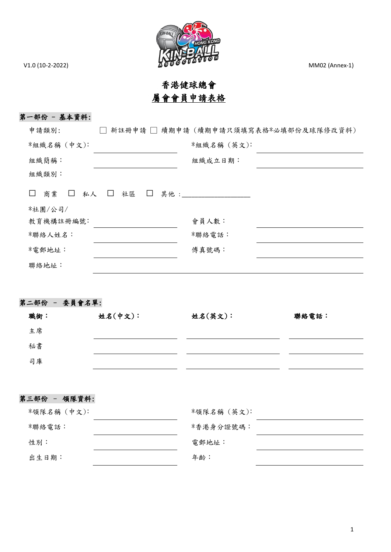

# 香港健球總會 屬會會員申請表格

## 第一部份 - 基本資料:

| 申請類別:                        |                                | 新註冊申請 □ 續期申請 (續期申請只須填寫表格*必填部份及球隊修改資料) |  |
|------------------------------|--------------------------------|---------------------------------------|--|
| *組織名稱 (中文):                  |                                | *組織名稱 (英文):                           |  |
| 組織簡稱:                        |                                | 組織成立日期:                               |  |
| 組織類別:                        |                                |                                       |  |
| 商業<br>私人<br>$\Box$<br>$\Box$ | 社區<br>$\Box$<br>其他 :<br>$\Box$ |                                       |  |
| *社團/公司/                      |                                |                                       |  |
| 教育機構註冊編號:                    |                                | 會員人數:                                 |  |
| *聯絡人姓名:                      |                                | *聯絡電話:                                |  |
| *電郵地址:                       |                                | 傅真號碼:                                 |  |
| 聯絡地址:                        |                                |                                       |  |

## 第二部份 – 委員會名單:

| 職銜: | 姓名(中文): | 姓名(英文): | 聯絡電話: |
|-----|---------|---------|-------|
| 主席  |         |         |       |
| 秘書  |         |         |       |
| 司庫  |         |         |       |
|     |         |         |       |

## 第三部份 – 領隊資料:

| *領隊名稱 (中文): | *領隊名稱 (英文): |
|-------------|-------------|
| *聯絡電話:      | *香港身分證號碼:   |
| 性別:         | 電郵地址:       |
| 出生日期:       | 年齡:         |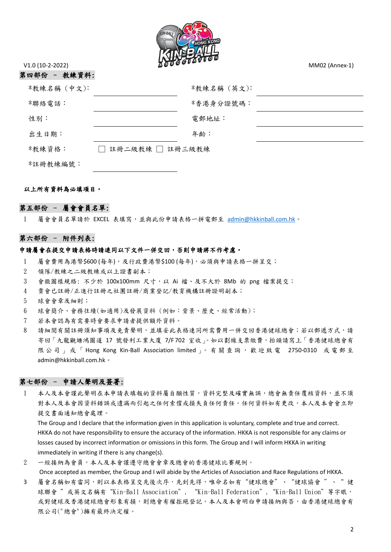

第四部份 – 教練資料:

| *教練名稱 (中文): |                           | *教練名稱(英文): |
|-------------|---------------------------|------------|
| *聯絡電話:      |                           | *香港身分證號碼:  |
| 性別:         |                           | 電郵地址:      |
| 出生日期:       |                           | 年齡:        |
| *教練資格:      | 註冊二級教練 □ 註冊三級教練<br>$\sim$ |            |
| *註冊教練編號:    |                           |            |

#### 以上所有資料為必填項目。

#### 第五部份 – 屬會會員名單:

1 屬會會員名單請於 EXCEL 表填寫,並與此份申請表格一拼電郵至 [admin@hkkinball.com.hk](mailto:admin@hkkinball.com.hk)。

#### 第六部份 – 附件列表:

#### 申請屬會在提交申請表格時請連同以下文件一併交回,否則申請將不作考慮。

- 1 屬會費用為港幣\$600 (每年),及行政費港幣\$100 (每年),必須與申請表格一拼呈交;
- 2 領隊/教練之二級教練或以上證書副本;
- 3 會徽圖樣規格: 不少於 100x100mm 尺寸,以 Ai 檔、及不大於 8Mb 的 png 檔案提交;
- 4 貴會已註冊/正進行註冊之社團註冊/商業登記/教育機構註冊證明副本;
- 5 球會會章及細則;
- 6 球會簡介、會務往績(如適用)及發展資料 (例如:背景、歷史、經常活動);
- 7 若本會認為有需要時會要求申請者提供額外資料。
- 8 請細閱有關註冊須知事項及免責聲明,並填妥此表格連同所需費用一併交回香港健球總會;若以郵遞方式,請 寄回「九龍觀塘鴻圖道 17 號發利工業大廈 7/F 702 室收」。如以劃線支票繳費,抬頭請寫上「香港健球總會有 限公司」或「Hong Kong Kin-Ball Association limited」。有關查詢,歡迎致電 2750-0310 或電郵至 admin@hkkinball.com.hk。

#### 第七部份 - 申請人聲明及簽署:

1 本人及本會謹此聲明在本申請表填報的資料屬自願性質,資料完整及確實無誤,總會無責任覆核資料,並不須 對本人及本會因資料錯誤或遺漏而引起之任何索償或損失負任何責任。任何資料如有更改,本人及本會會立即 提交書面通知總會處理。

The Group and I declare that the information given in this application is voluntary, complete and true and correct. HKKA do not have responsibility to ensure the accuracy of the information. HKKA is not responsible for any claims or losses caused by incorrect information or omissions in this form. The Group and I will inform HKKA in writing immediately in writing if there is any change(s).

2 一經接納為會員,本人及本會謹遵守總會會章及總會的香港健球比賽規例。

Once accepted as member, the Group and I will abide by the Articles of Association and Race Regulations of HKKA.

3 屬會名稱如有雷同,則以本表格呈交先後次序,先到先得,唯命名如有"健球總會"、"健球協會"、"健 球聯會 "或英文名稱有"Kin-Ball Association", "Kin-Ball Federation","Kin-Ball Union"等字眼, 或對健球及香港健球總會形象有損,則總會有權拒絕登記。本人及本會明白申請接納與否,由香港健球總會有 限公司("總會")擁有最終決定權。